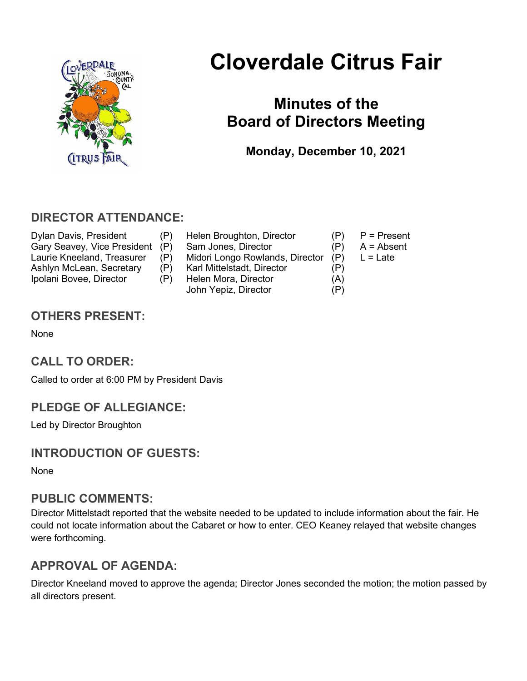

# Cloverdale Citrus Fair

## Minutes of the Board of Directors Meeting

Monday, December 10, 2021

### DIRECTOR ATTENDANCE:

- Dylan Davis, President (P) Helen Broughton, Director (P) P = Present<br>Gary Seavey. Vice President (P) Sam Jones. Director (P) A = Absent Gary Seavey, Vice President (P) Sam Jones, Director (P) Laurie Kneeland, Treasurer (P) Midori Longo Rowlands, Director (P) L = Late Ashlyn McLean, Secretary (P) Karl Mittelstadt, Director (P) Ipolani Bovee, Director (P) Helen Mora, Director (A) John Yepiz, Director (P)
- -
	-
	-

## OTHERS PRESENT:

None

## CALL TO ORDER:

Called to order at 6:00 PM by President Davis

## PLEDGE OF ALLEGIANCE:

Led by Director Broughton

## INTRODUCTION OF GUESTS:

None

#### PUBLIC COMMENTS:

Director Mittelstadt reported that the website needed to be updated to include information about the fair. He could not locate information about the Cabaret or how to enter. CEO Keaney relayed that website changes were forthcoming.

## APPROVAL OF AGENDA:

Director Kneeland moved to approve the agenda; Director Jones seconded the motion; the motion passed by all directors present.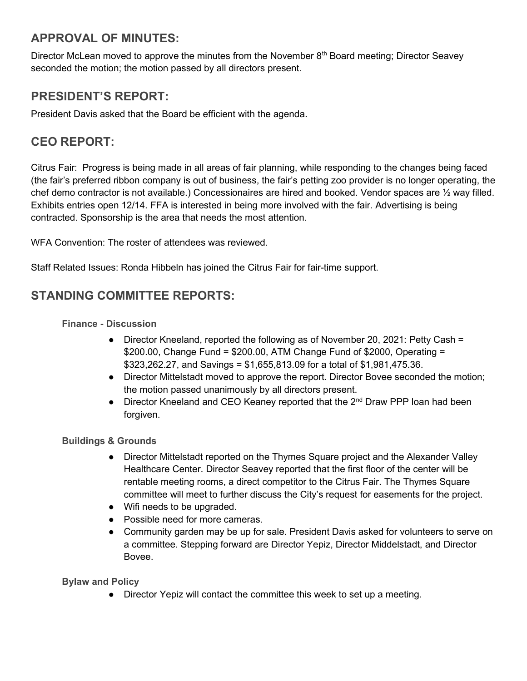## APPROVAL OF MINUTES:

Director McLean moved to approve the minutes from the November  $8<sup>th</sup>$  Board meeting; Director Seavey seconded the motion; the motion passed by all directors present.

### PRESIDENT'S REPORT:

President Davis asked that the Board be efficient with the agenda.

## CEO REPORT:

Citrus Fair: Progress is being made in all areas of fair planning, while responding to the changes being faced (the fair's preferred ribbon company is out of business, the fair's petting zoo provider is no longer operating, the chef demo contractor is not available.) Concessionaires are hired and booked. Vendor spaces are ½ way filled. Exhibits entries open 12/14. FFA is interested in being more involved with the fair. Advertising is being contracted. Sponsorship is the area that needs the most attention.

WFA Convention: The roster of attendees was reviewed.

Staff Related Issues: Ronda Hibbeln has joined the Citrus Fair for fair-time support.

#### STANDING COMMITTEE REPORTS:

#### Finance - Discussion

- Director Kneeland, reported the following as of November 20, 2021: Petty Cash = \$200.00, Change Fund = \$200.00, ATM Change Fund of \$2000, Operating = \$323,262.27, and Savings = \$1,655,813.09 for a total of \$1,981,475.36.
- Director Mittelstadt moved to approve the report. Director Bovee seconded the motion; the motion passed unanimously by all directors present.
- Director Kneeland and CEO Keaney reported that the 2<sup>nd</sup> Draw PPP loan had been forgiven.

#### Buildings & Grounds

- Director Mittelstadt reported on the Thymes Square project and the Alexander Valley Healthcare Center. Director Seavey reported that the first floor of the center will be rentable meeting rooms, a direct competitor to the Citrus Fair. The Thymes Square committee will meet to further discuss the City's request for easements for the project.
- Wifi needs to be upgraded.
- Possible need for more cameras.
- Community garden may be up for sale. President Davis asked for volunteers to serve on a committee. Stepping forward are Director Yepiz, Director Middelstadt, and Director Bovee.

Bylaw and Policy

• Director Yepiz will contact the committee this week to set up a meeting.